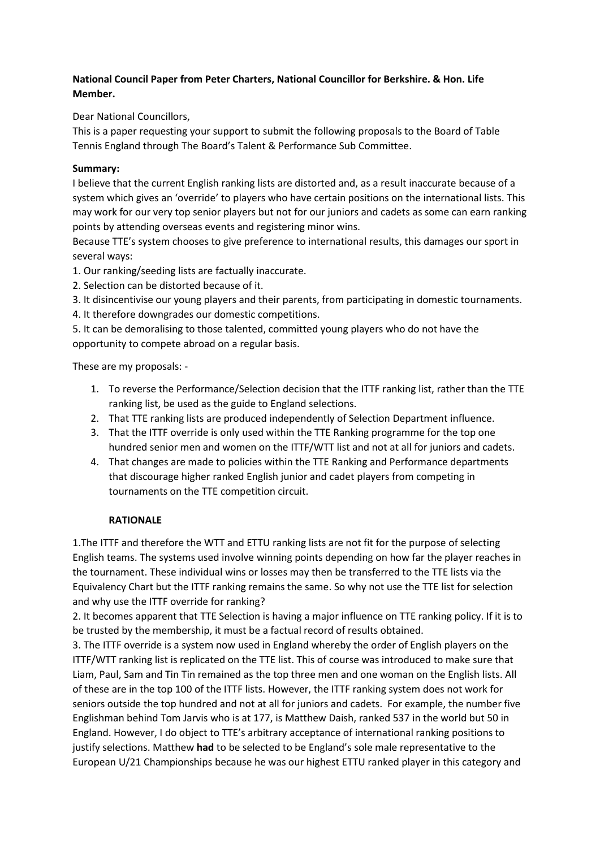## **National Council Paper from Peter Charters, National Councillor for Berkshire. & Hon. Life Member.**

Dear National Councillors,

This is a paper requesting your support to submit the following proposals to the Board of Table Tennis England through The Board's Talent & Performance Sub Committee.

## **Summary:**

I believe that the current English ranking lists are distorted and, as a result inaccurate because of a system which gives an 'override' to players who have certain positions on the international lists. This may work for our very top senior players but not for our juniors and cadets as some can earn ranking points by attending overseas events and registering minor wins.

Because TTE's system chooses to give preference to international results, this damages our sport in several ways:

1. Our ranking/seeding lists are factually inaccurate.

- 2. Selection can be distorted because of it.
- 3. It disincentivise our young players and their parents, from participating in domestic tournaments.
- 4. It therefore downgrades our domestic competitions.

5. It can be demoralising to those talented, committed young players who do not have the opportunity to compete abroad on a regular basis.

These are my proposals: -

- 1. To reverse the Performance/Selection decision that the ITTF ranking list, rather than the TTE ranking list, be used as the guide to England selections.
- 2. That TTE ranking lists are produced independently of Selection Department influence.
- 3. That the ITTF override is only used within the TTE Ranking programme for the top one hundred senior men and women on the ITTF/WTT list and not at all for juniors and cadets.
- 4. That changes are made to policies within the TTE Ranking and Performance departments that discourage higher ranked English junior and cadet players from competing in tournaments on the TTE competition circuit.

## **RATIONALE**

1.The ITTF and therefore the WTT and ETTU ranking lists are not fit for the purpose of selecting English teams. The systems used involve winning points depending on how far the player reaches in the tournament. These individual wins or losses may then be transferred to the TTE lists via the Equivalency Chart but the ITTF ranking remains the same. So why not use the TTE list for selection and why use the ITTF override for ranking?

2. It becomes apparent that TTE Selection is having a major influence on TTE ranking policy. If it is to be trusted by the membership, it must be a factual record of results obtained.

3. The ITTF override is a system now used in England whereby the order of English players on the ITTF/WTT ranking list is replicated on the TTE list. This of course was introduced to make sure that Liam, Paul, Sam and Tin Tin remained as the top three men and one woman on the English lists. All of these are in the top 100 of the ITTF lists. However, the ITTF ranking system does not work for seniors outside the top hundred and not at all for juniors and cadets. For example, the number five Englishman behind Tom Jarvis who is at 177, is Matthew Daish, ranked 537 in the world but 50 in England. However, I do object to TTE's arbitrary acceptance of international ranking positions to justify selections. Matthew **had** to be selected to be England's sole male representative to the European U/21 Championships because he was our highest ETTU ranked player in this category and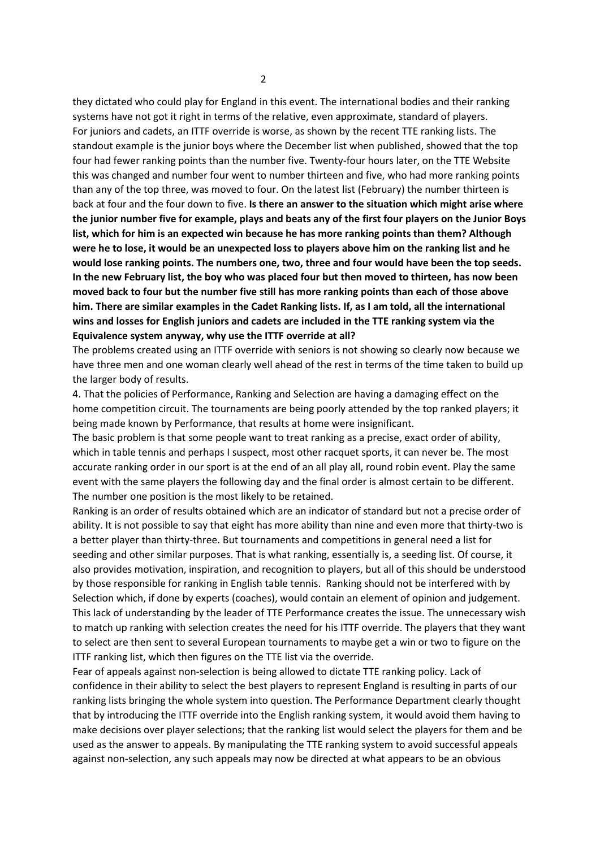they dictated who could play for England in this event. The international bodies and their ranking systems have not got it right in terms of the relative, even approximate, standard of players. For juniors and cadets, an ITTF override is worse, as shown by the recent TTE ranking lists. The standout example is the junior boys where the December list when published, showed that the top four had fewer ranking points than the number five. Twenty-four hours later, on the TTE Website this was changed and number four went to number thirteen and five, who had more ranking points than any of the top three, was moved to four. On the latest list (February) the number thirteen is back at four and the four down to five. **Is there an answer to the situation which might arise where the junior number five for example, plays and beats any of the first four players on the Junior Boys list, which for him is an expected win because he has more ranking points than them? Although were he to lose, it would be an unexpected loss to players above him on the ranking list and he would lose ranking points. The numbers one, two, three and four would have been the top seeds. In the new February list, the boy who was placed four but then moved to thirteen, has now been moved back to four but the number five still has more ranking points than each of those above him. There are similar examples in the Cadet Ranking lists. If, as I am told, all the international wins and losses for English juniors and cadets are included in the TTE ranking system via the Equivalence system anyway, why use the ITTF override at all?** 

The problems created using an ITTF override with seniors is not showing so clearly now because we have three men and one woman clearly well ahead of the rest in terms of the time taken to build up the larger body of results.

4. That the policies of Performance, Ranking and Selection are having a damaging effect on the home competition circuit. The tournaments are being poorly attended by the top ranked players; it being made known by Performance, that results at home were insignificant.

The basic problem is that some people want to treat ranking as a precise, exact order of ability, which in table tennis and perhaps I suspect, most other racquet sports, it can never be. The most accurate ranking order in our sport is at the end of an all play all, round robin event. Play the same event with the same players the following day and the final order is almost certain to be different. The number one position is the most likely to be retained.

Ranking is an order of results obtained which are an indicator of standard but not a precise order of ability. It is not possible to say that eight has more ability than nine and even more that thirty-two is a better player than thirty-three. But tournaments and competitions in general need a list for seeding and other similar purposes. That is what ranking, essentially is, a seeding list. Of course, it also provides motivation, inspiration, and recognition to players, but all of this should be understood by those responsible for ranking in English table tennis. Ranking should not be interfered with by Selection which, if done by experts (coaches), would contain an element of opinion and judgement. This lack of understanding by the leader of TTE Performance creates the issue. The unnecessary wish to match up ranking with selection creates the need for his ITTF override. The players that they want to select are then sent to several European tournaments to maybe get a win or two to figure on the ITTF ranking list, which then figures on the TTE list via the override.

Fear of appeals against non-selection is being allowed to dictate TTE ranking policy. Lack of confidence in their ability to select the best players to represent England is resulting in parts of our ranking lists bringing the whole system into question. The Performance Department clearly thought that by introducing the ITTF override into the English ranking system, it would avoid them having to make decisions over player selections; that the ranking list would select the players for them and be used as the answer to appeals. By manipulating the TTE ranking system to avoid successful appeals against non-selection, any such appeals may now be directed at what appears to be an obvious